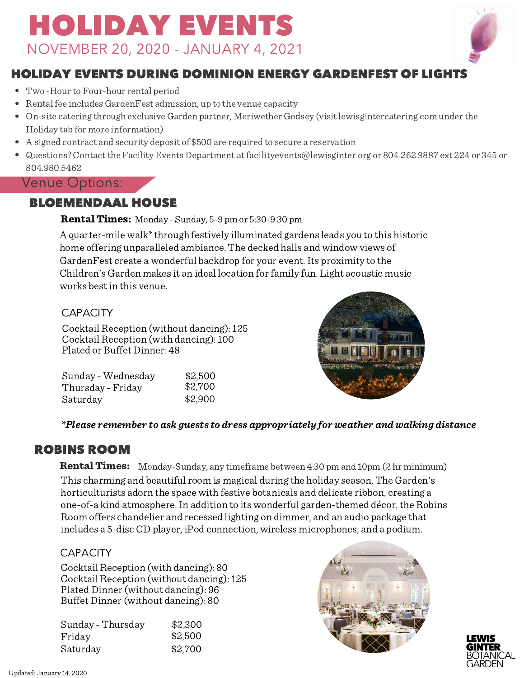# HOLIDAY EVENTS NOVEMBER 20, 2020 - JANUARY 4, 2021



# HOLIDAY EVENTS DURING DOMINION ENERGY GARDENFEST OF LIGHTS

- Two-Hour to Four-hour rental period
- Rental fee includes GardenFest admission, up to the venue capacity
- On-site catering through exclusive Garden partner, Meriwether Godsey (visit lewisgintercatering.com underthe Holiday tab for more information)
- A signed contract and security deposit of \$500 are required to secure a reservation
- Questions? Contact the Facility Events Department at [facilityevents@lewisginter.org](http://www.lewisgintercatering.com/) or 804.262.9887 ext 224 or 345 or 804.980.5462

### Venue Options:

### BLOEMENDAAL HOUSE

**Rental Times:** Monday - Sunday, 5-9 pm or 5:30-9:30 pm

A quarter-mile walk<sup>\*</sup> through festively illuminated gardens leads you to this historic home offering unparalleled ambiance. The decked halls and window views of GardenFest create a wonderful backdrop for your event.Its proximity to the Children's Garden makes it an ideal location for family fun. Light acoustic music works best in this venue.

#### **CAPACITY**

Cocktail Reception (without dancing): 125 Cocktail Reception (with dancing): 100 Plated or Buffet Dinner: 48

| Sunday - Wednesday | \$2,500 |
|--------------------|---------|
| Thursday - Friday  | \$2,700 |
| Saturday           | \$2,900 |

#### \*Please remember to ask guests to dress appropriately for weather and walking distance

### ROBINS ROOM

**Rental Times:** Monday-Sunday, any timeframe between 4:30 pm and 10pm (2 hr minimum) This charming and beautiful room is magical during the holiday season. The Garden's horticulturists adorn the space with festive botanicals and delicate ribbon, creating a one-of-a kind atmosphere.In addition to its wonderful garden-themed décor, the Robins Room offers chandelier and recessed lighting on dimmer, and an audio package that includes a 5-disc CD player, iPod connection, wireless microphones, and a podium.

#### **CAPACITY**

Cocktail Reception (with dancing): 80 Cocktail Reception (without dancing): 125 Plated Dinner(without dancing): 96 Buffet Dinner(without dancing): 80

| Sunday - Thursday | \$2,300 |
|-------------------|---------|
| Friday            | \$2,500 |
| Saturday          | \$2,700 |



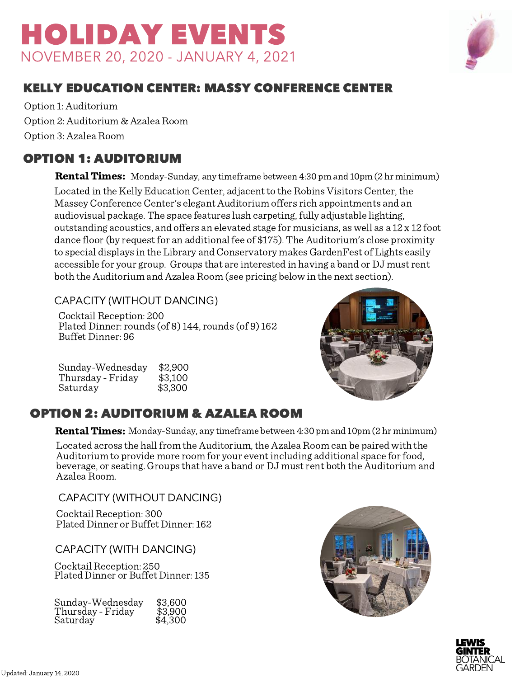# HOLIDAY EVENTS NOVEMBER 20, 2020 - JANUARY 4, 2021



### KELLY EDUCATION CENTER: MASSY CONFERENCE CENTER

Option 1: Auditorium Option 2: Auditorium & Azalea Room Option 3: Azalea Room

### OPTION 1: AUDITORIUM

**Rental Times:** Monday-Sunday, any timeframe between 4:30 pm and 10pm (2 hr minimum) Located in the Kelly Education Center, adjacent to the Robins Visitors Center, the Massey Conference Center's elegant Auditorium offers rich appointments and an audiovisual package. The space features lush carpeting, fully adjustable lighting, outstanding acoustics, and offers an elevated stage for musicians, as well as a 12 x 12 foot dance floor (by request for an additional fee of \$175). The Auditorium's close proximity to special displays in the Library and Conservatory makes GardenFest of Lights easily accessible for your group. Groups that are interested in having a band or DJ mustrent both the Auditorium and Azalea Room (see pricing below in the next section).

CAPACITY (WITHOUT DANCING)

Cocktail Reception: 200 Plated Dinner: rounds (of 8)  $144$ , rounds (of 9)  $162$ Buffet Dinner: 96

| Sunday-Wednesday  | \$2,900 |
|-------------------|---------|
| Thursday - Friday | \$3,100 |
| Saturday          | \$3,300 |



# OPTION 2: AUDITORIUM & AZALEA ROOM

**Rental Times:** Monday-Sunday, any timeframe between 4:30 pm and 10pm (2 hr minimum)

Located across the hall from the Auditorium, the Azalea Room can be paired with the Auditorium to provide more room for your event including additional space forfood, beverage, or seating. Groups that have a band or DJ mustrent both the Auditorium and Azalea Room.

CAPACITY (WITHOUT DANCING)

Cocktail Reception: 300 Plated Dinner or Buffet Dinner: 162

CAPACITY (WITH DANCING)

Cocktail Reception: 250 Plated Dinner or Buffet Dinner: 135

| Sunday-Wednesday  | \$3,600 |
|-------------------|---------|
| Thursday - Friday | \$3,900 |
| Saturday          | \$4,300 |